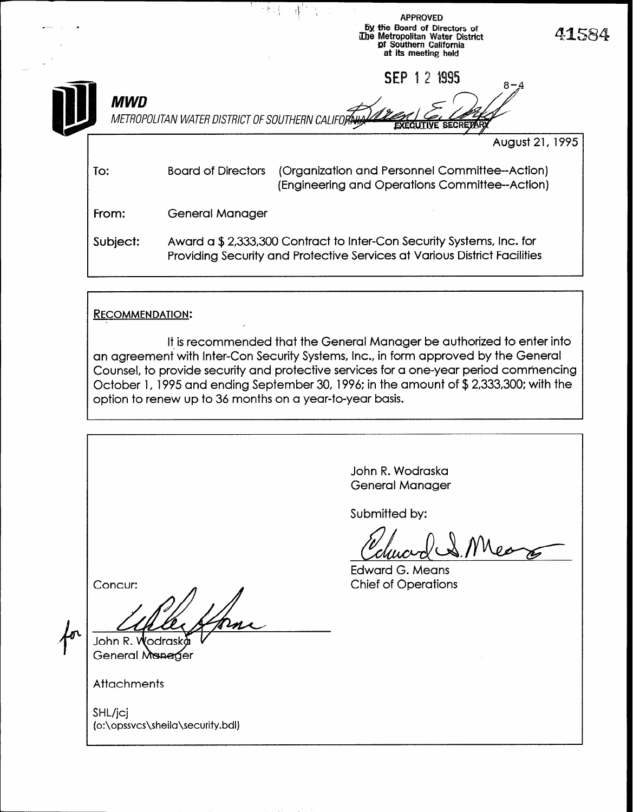|            | 医囊子体                                                | <b>APPROVED</b><br>by the Board of Directors of<br>The Metropolitan Water District<br>of Southern California<br>at its meeting held               | 41584 |
|------------|-----------------------------------------------------|---------------------------------------------------------------------------------------------------------------------------------------------------|-------|
| <b>MWD</b> | METROPOLITAN WATER DISTRICT OF SOUTHERN CALIFORALLY | 1 2 1995<br><b>SEP</b><br>8-4<br><b>EXECUTIVE SECRET/</b>                                                                                         |       |
|            |                                                     | August 21, 1995                                                                                                                                   |       |
| To:        | <b>Board of Directors</b>                           | (Organization and Personnel Committee--Action)<br>(Engineering and Operations Committee--Action)                                                  |       |
| From:      | <b>General Manager</b>                              |                                                                                                                                                   |       |
| Subject:   |                                                     | Award a \$2,333,300 Contract to Inter-Con Security Systems, Inc. for<br>Providing Security and Protective Services at Various District Facilities |       |

#### RECOMMENDATION:

It is recommended that the General Manager be authorized to enter into an agreement with Inter-Con Security Systems, Inc., in form approved by the General Counsel, to provide security and protective services for a one-year period commencing October 1, 1995 and ending September 30, 1996: in the amount of \$2,333,300; with the option to renew up to 36 months on a year-to-year basis.

r

John R. Wodraska General Manager Submitted by: Canac Edward G. Means Chief of Operations Concur: John R. Wodraska General Manager **Attachments** 

SHL/jcj (o:\opssvcs\sheila\security.bdl)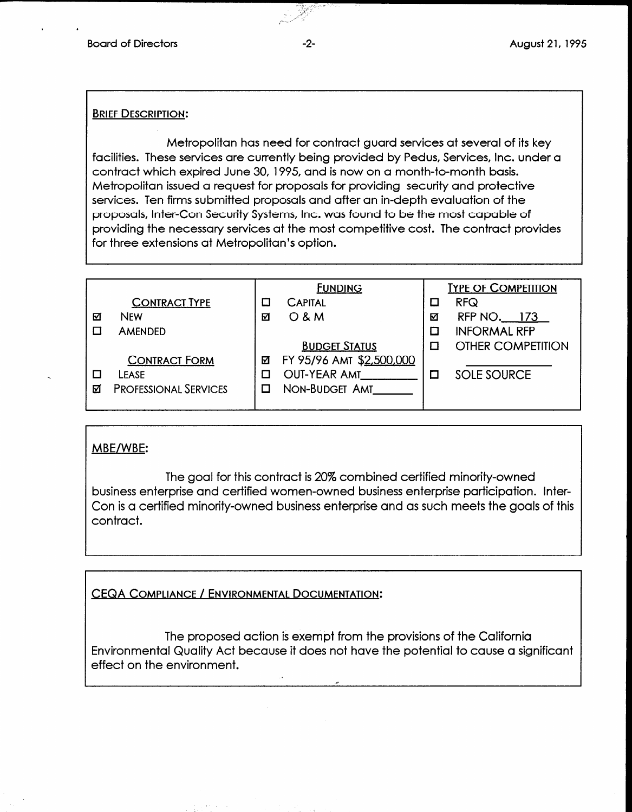#### **BRIEF DESCRIPTION:**

Metropolitan has need for contract guard services at several of its key facilities. These services are currently being provided by Pedus, Services, Inc. under a contract which expired June 30, 1995, and is now on a month-to-month basis. Metropolitan issued a request for proposals for providing security and protective services. Ten firms submitted proposals and after an in-depth evaluation of the proposals, Inter-Con Security Systems, Inc. was found to be the most capable of providing the necessary services at the most competitive cost. The contract provides for three extensions at Metropolitan's option.

|   |                              |   | <b>FUNDING</b>           |   | <b>TYPE OF COMPETITION</b> |
|---|------------------------------|---|--------------------------|---|----------------------------|
|   | <b>CONTRACT TYPE</b>         |   | <b>CAPITAL</b>           |   | <b>RFQ</b>                 |
| ☑ | <b>NEW</b>                   | М | $O$ & M                  | ☑ | RFP NO. 173                |
|   | <b>AMENDED</b>               |   |                          |   | <b>INFORMAL RFP</b>        |
|   |                              |   | <b>BUDGET STATUS</b>     |   | <b>OTHER COMPETITION</b>   |
|   | <b>CONTRACT FORM</b>         | ⊠ | FY 95/96 AMT \$2,500,000 |   |                            |
|   | LEASE                        |   | <b>OUT-YEAR AMT</b>      |   | <b>SOLE SOURCE</b>         |
| М | <b>PROFESSIONAL SERVICES</b> |   | NON-BUDGET AMT           |   |                            |
|   |                              |   |                          |   |                            |

## MBE/WBE:

The goal for this contract is 20% combined certified minority-owned business enterprise and certified women-owned business enterprise participation. Inter-Con is a certified minority-owned business enterprise and as such meets the goals of this contract.

## CEQA COMPLIANCE / ENVIRONMENTAL DOCUMENTATION:

The proposed action is exempt from the provisions of the California Ine proposed dollon is exempt from the provisions of the California Environmental Quality Act because it does not have the potential to cause a significant<br>effect on the environment.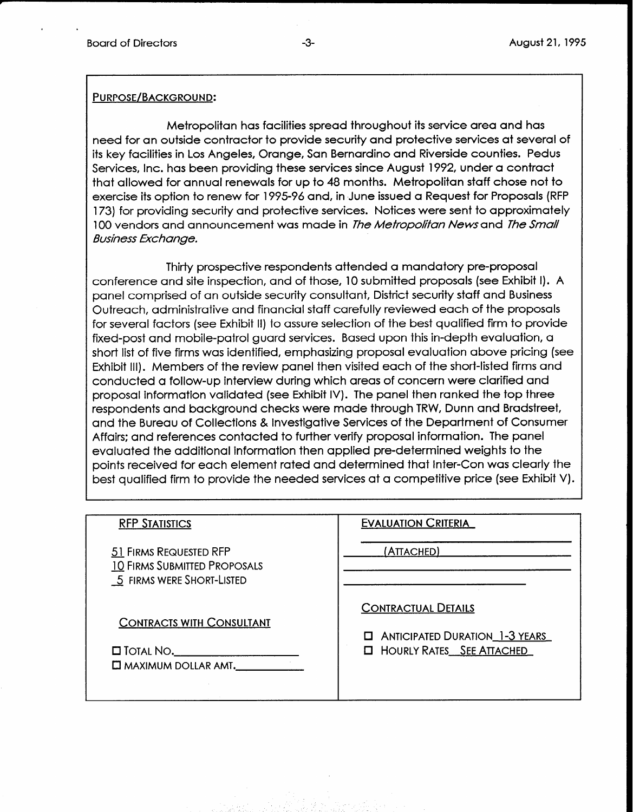# PURPOSE/BACKGROUND:

Metropolitan has facilities spread throughout its service area and has need for an outside contractor to provide security and protective services at several of its key facilities in Los Angeles, Orange, San Bernardino and Riverside counties. Pedus Services, Inc. has been providing these services since August 1992, under a contract that allowed for annual renewals for up to 48 months. Metropolitan staff chose not to exercise its option to renew for 1995-96 and, in June issued a Request for Proposals (RFP 173) for providing security and protective services. Notices were sent to approximately 100 vendors and announcement was made in *The Metropolitan News* and *The Small* **Business Exchange.** 

Thirty prospective respondents attended a mandatory pre-proposal conference and site inspection, and of those, 10 submitted proposals (see Exhibit I). A panel comprised of an outside security consultant, District security staff and Business Outreach, administrative and financial staff carefully reviewed each of the proposals for several factors (see Exhibit II) to assure selection of the best qualified firm to provide fixed-post and mobile-patrol guard services. Based upon this in-depth evaluation, a short list of five firms was identified, emphasizing proposal evaluation above pricing (see Exhibit Ill). Members of the review panel then visited each of the short-listed firms and conducted a follow-up interview during which areas of concern were clarified and proposal information validated (see Exhibit IV). The panel then ranked the top three respondents and background checks were made through TRW, Dunn and Bradstreet, and the Bureau of Collections & Investigative Services of the Department of Consumer Affairs: and references contacted to further verify proposal information. The panel evaluated the additional information then applied pre-determined weights to the points received for each element rated and determined that Inter-Con was clearly the best qualified firm to provide the needed services at a competitive price (see Exhibit V).

| <b>RFP STATISTICS</b>                                                                           | <b>EVALUATION CRITERIA</b>                                                                                   |
|-------------------------------------------------------------------------------------------------|--------------------------------------------------------------------------------------------------------------|
| 51 FIRMS REQUESTED RFP<br><b>10 FIRMS SUBMITTED PROPOSALS</b><br>5 FIRMS WERE SHORT-LISTED      | (ATTACHED)                                                                                                   |
| <b>CONTRACTS WITH CONSULTANT</b><br>$\square$ Total No. $\square$<br>$\Box$ MAXIMUM DOLLAR AMT. | <b>CONTRACTUAL DETAILS</b><br><b>E</b> ANTICIPATED DURATION 1-3 YEARS<br><b>El HOURLY RATES</b> SEE ATTACHED |